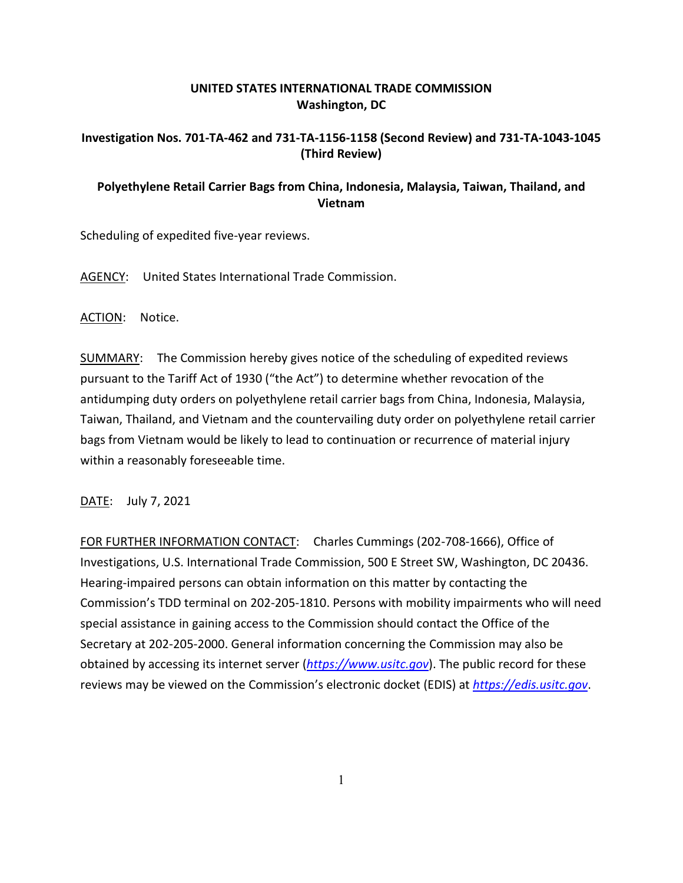## **UNITED STATES INTERNATIONAL TRADE COMMISSION Washington, DC**

## **Investigation Nos. 701-TA-462 and 731-TA-1156-1158 (Second Review) and 731-TA-1043-1045 (Third Review)**

## **Polyethylene Retail Carrier Bags from China, Indonesia, Malaysia, Taiwan, Thailand, and Vietnam**

Scheduling of expedited five-year reviews.

AGENCY: United States International Trade Commission.

ACTION: Notice.

SUMMARY: The Commission hereby gives notice of the scheduling of expedited reviews pursuant to the Tariff Act of 1930 ("the Act") to determine whether revocation of the antidumping duty orders on polyethylene retail carrier bags from China, Indonesia, Malaysia, Taiwan, Thailand, and Vietnam and the countervailing duty order on polyethylene retail carrier bags from Vietnam would be likely to lead to continuation or recurrence of material injury within a reasonably foreseeable time.

DATE: July 7, 2021

FOR FURTHER INFORMATION CONTACT: Charles Cummings (202-708-1666), Office of Investigations, U.S. International Trade Commission, 500 E Street SW, Washington, DC 20436. Hearing-impaired persons can obtain information on this matter by contacting the Commission's TDD terminal on 202-205-1810. Persons with mobility impairments who will need special assistance in gaining access to the Commission should contact the Office of the Secretary at 202-205-2000. General information concerning the Commission may also be obtained by accessing its internet server (*[https://www.usitc.gov](https://www.usitc.gov/)*). The public record for these reviews may be viewed on the Commission's electronic docket (EDIS) at *[https://edis.usitc.gov](https://edis.usitc.gov/)*.

1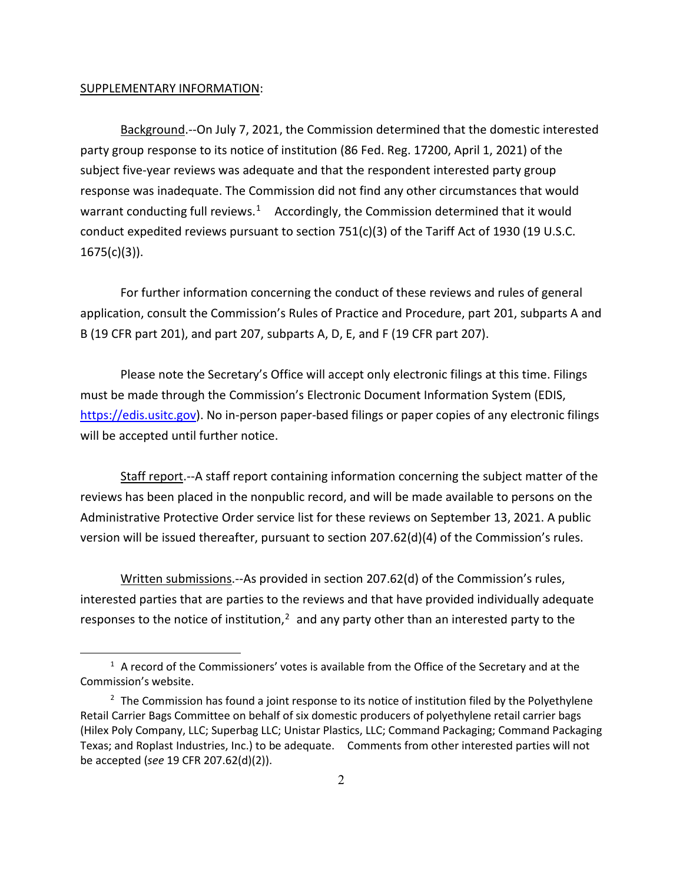## SUPPLEMENTARY INFORMATION:

Background.--On July 7, 2021, the Commission determined that the domestic interested party group response to its notice of institution (86 Fed. Reg. 17200, April 1, 2021) of the subject five-year reviews was adequate and that the respondent interested party group response was inadequate. The Commission did not find any other circumstances that would warrant conducting full reviews.<sup>1</sup> Accordingly, the Commission determined that it would conduct expedited reviews pursuant to section  $751(c)(3)$  of the Tariff Act of 1930 (19 U.S.C.  $1675(c)(3)$ ).

For further information concerning the conduct of these reviews and rules of general application, consult the Commission's Rules of Practice and Procedure, part 201, subparts A and B (19 CFR part 201), and part 207, subparts A, D, E, and F (19 CFR part 207).

Please note the Secretary's Office will accept only electronic filings at this time. Filings must be made through the Commission's Electronic Document Information System (EDIS, [https://edis.usitc.gov\)](https://edis.usitc.gov/). No in-person paper-based filings or paper copies of any electronic filings will be accepted until further notice.

Staff report.--A staff report containing information concerning the subject matter of the reviews has been placed in the nonpublic record, and will be made available to persons on the Administrative Protective Order service list for these reviews on September 13, 2021. A public version will be issued thereafter, pursuant to section 207.62(d)(4) of the Commission's rules.

Written submissions.--As provided in section 207.62(d) of the Commission's rules, interested parties that are parties to the reviews and that have provided individually adequate responses to the notice of institution, $<sup>2</sup>$  $<sup>2</sup>$  $<sup>2</sup>$  and any party other than an interested party to the</sup>

<span id="page-1-0"></span> $<sup>1</sup>$  A record of the Commissioners' votes is available from the Office of the Secretary and at the</sup> Commission's website.

<span id="page-1-1"></span> $2$  The Commission has found a joint response to its notice of institution filed by the Polyethylene Retail Carrier Bags Committee on behalf of six domestic producers of polyethylene retail carrier bags (Hilex Poly Company, LLC; Superbag LLC; Unistar Plastics, LLC; Command Packaging; Command Packaging Texas; and Roplast Industries, Inc.) to be adequate. Comments from other interested parties will not be accepted (*see* 19 CFR 207.62(d)(2)).